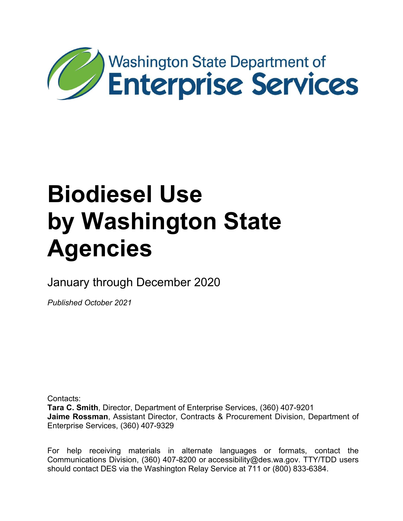

January through December 2020

*Published October 2021*

Contacts:

**Tara C. Smith**, Director, Department of Enterprise Services, (360) 407-9201 **Jaime Rossman**, Assistant Director, Contracts & Procurement Division, Department of Enterprise Services, (360) 407-9329

For help receiving materials in alternate languages or formats, contact the Communications Division, (360) 407-8200 or [accessibility@des.wa.gov.](mailto:accessibility@des.wa.gov) TTY/TDD users should contact DES via the Washington Relay Service at 711 or (800) 833-6384.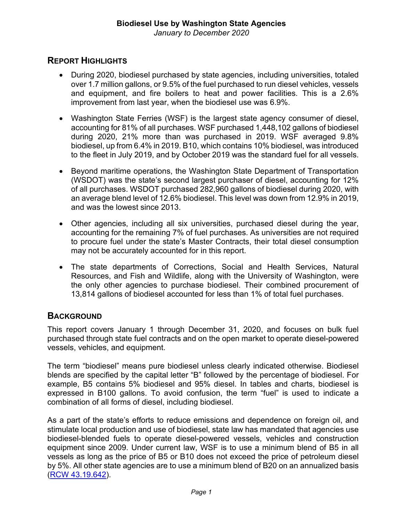*January to December 2020*

## **REPORT HIGHLIGHTS**

- During 2020, biodiesel purchased by state agencies, including universities, totaled over 1.7 million gallons, or 9.5% of the fuel purchased to run diesel vehicles, vessels and equipment, and fire boilers to heat and power facilities. This is a 2.6% improvement from last year, when the biodiesel use was 6.9%.
- Washington State Ferries (WSF) is the largest state agency consumer of diesel, accounting for 81% of all purchases. WSF purchased 1,448,102 gallons of biodiesel during 2020, 21% more than was purchased in 2019. WSF averaged 9.8% biodiesel, up from 6.4% in 2019. B10, which contains 10% biodiesel, was introduced to the fleet in July 2019, and by October 2019 was the standard fuel for all vessels.
- Beyond maritime operations, the Washington State Department of Transportation (WSDOT) was the state's second largest purchaser of diesel, accounting for 12% of all purchases. WSDOT purchased 282,960 gallons of biodiesel during 2020, with an average blend level of 12.6% biodiesel. This level was down from 12.9% in 2019, and was the lowest since 2013.
- Other agencies, including all six universities, purchased diesel during the year, accounting for the remaining 7% of fuel purchases. As universities are not required to procure fuel under the state's Master Contracts, their total diesel consumption may not be accurately accounted for in this report.
- The state departments of Corrections, Social and Health Services, Natural Resources, and Fish and Wildlife, along with the University of Washington, were the only other agencies to purchase biodiesel. Their combined procurement of 13,814 gallons of biodiesel accounted for less than 1% of total fuel purchases.

## **BACKGROUND**

This report covers January 1 through December 31, 2020, and focuses on bulk fuel purchased through state fuel contracts and on the open market to operate diesel-powered vessels, vehicles, and equipment.

The term "biodiesel" means pure biodiesel unless clearly indicated otherwise. Biodiesel blends are specified by the capital letter "B" followed by the percentage of biodiesel. For example, B5 contains 5% biodiesel and 95% diesel. In tables and charts, biodiesel is expressed in B100 gallons. To avoid confusion, the term "fuel" is used to indicate a combination of all forms of diesel, including biodiesel.

As a part of the state's efforts to reduce emissions and dependence on foreign oil, and stimulate local production and use of biodiesel, state law has mandated that agencies use biodiesel-blended fuels to operate diesel-powered vessels, vehicles and construction equipment since 2009. Under current law, WSF is to use a minimum blend of B5 in all vessels as long as the price of B5 or B10 does not exceed the price of petroleum diesel by 5%. All other state agencies are to use a minimum blend of B20 on an annualized basis [\(RCW 43.19.642\)](http://app.leg.wa.gov/rcw/default.aspx?cite=43.19.642).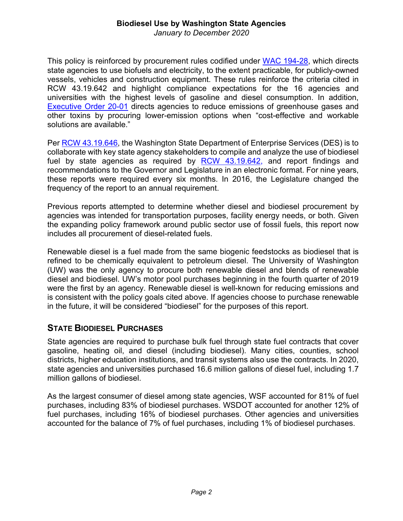*January to December 2020*

This policy is reinforced by procurement rules codified under [WAC 194-28,](https://app.leg.wa.gov/wac/default.aspx?cite=194-28&full=true) which directs state agencies to use biofuels and electricity, to the extent practicable, for publicly-owned vessels, vehicles and construction equipment. These rules reinforce the criteria cited in RCW 43.19.642 and highlight compliance expectations for the 16 agencies and universities with the highest levels of gasoline and diesel consumption. In addition, [Executive Order 20-01](https://www.governor.wa.gov/sites/default/files/exe_order/20-01%20SEEP%20Executive%20Order%20%28tmp%29.pdf) directs agencies to reduce emissions of greenhouse gases and other toxins by procuring lower-emission options when "cost-effective and workable solutions are available."

Per [RCW 43.19.646,](http://app.leg.wa.gov/rcw/default.aspx?cite=43.19.646) the Washington State Department of Enterprise Services (DES) is to collaborate with key state agency stakeholders to compile and analyze the use of biodiesel fuel by state agencies as required by [RCW 43.19.642,](http://app.leg.wa.gov/rcw/default.aspx?cite=43.19.642) and report findings and recommendations to the Governor and Legislature in an electronic format. For nine years, these reports were required every six months. In 2016, the Legislature changed the frequency of the report to an annual requirement.

Previous reports attempted to determine whether diesel and biodiesel procurement by agencies was intended for transportation purposes, facility energy needs, or both. Given the expanding policy framework around public sector use of fossil fuels, this report now includes all procurement of diesel-related fuels.

Renewable diesel is a fuel made from the same biogenic feedstocks as biodiesel that is refined to be chemically equivalent to petroleum diesel. The University of Washington (UW) was the only agency to procure both renewable diesel and blends of renewable diesel and biodiesel. UW's motor pool purchases beginning in the fourth quarter of 2019 were the first by an agency. Renewable diesel is well-known for reducing emissions and is consistent with the policy goals cited above. If agencies choose to purchase renewable in the future, it will be considered "biodiesel" for the purposes of this report.

## **STATE BIODIESEL PURCHASES**

State agencies are required to purchase bulk fuel through state fuel contracts that cover gasoline, heating oil, and diesel (including biodiesel). Many cities, counties, school districts, higher education institutions, and transit systems also use the contracts. In 2020, state agencies and universities purchased 16.6 million gallons of diesel fuel, including 1.7 million gallons of biodiesel.

As the largest consumer of diesel among state agencies, WSF accounted for 81% of fuel purchases, including 83% of biodiesel purchases. WSDOT accounted for another 12% of fuel purchases, including 16% of biodiesel purchases. Other agencies and universities accounted for the balance of 7% of fuel purchases, including 1% of biodiesel purchases.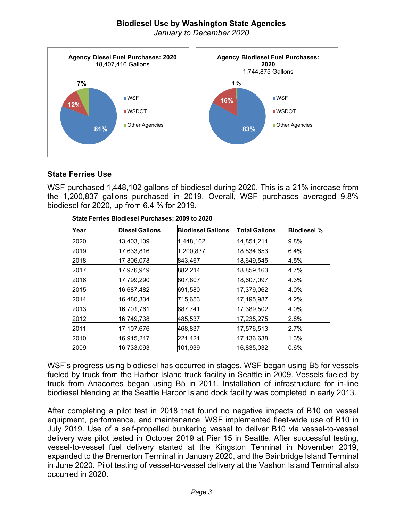*January to December 2020*



#### **State Ferries Use**

WSF purchased 1,448,102 gallons of biodiesel during 2020. This is a 21% increase from the 1,200,837 gallons purchased in 2019. Overall, WSF purchases averaged 9.8% biodiesel for 2020, up from 6.4 % for 2019.

| Year | <b>Diesel Gallons</b> | <b>Biodiesel Gallons</b> | <b>Total Gallons</b> | <b>Biodiesel %</b> |
|------|-----------------------|--------------------------|----------------------|--------------------|
| 2020 | 13,403,109            | 1,448,102                | 14,851,211           | 9.8%               |
| 2019 | 17,633,816            | 1,200,837                | 18,834,653           | 6.4%               |
| 2018 | 17,806,078            | 843,467                  | 18,649,545           | 4.5%               |
| 2017 | 17,976,949            | 882,214                  | 18,859,163           | 4.7%               |
| 2016 | 17,799,290            | 807,807                  | 18,607,097           | 4.3%               |
| 2015 | 16,687,482            | 691,580                  | 17,379,062           | 4.0%               |
| 2014 | 16,480,334            | 715,653                  | 17,195,987           | 4.2%               |
| 2013 | 16,701,761            | 687,741                  | 17,389,502           | 4.0%               |
| 2012 | 16,749,738            | 485,537                  | 17,235,275           | 2.8%               |
| 2011 | 17,107,676            | 468,837                  | 17,576,513           | 2.7%               |
| 2010 | 16,915,217            | 221,421                  | 17,136,638           | 1.3%               |
| 2009 | 16,733,093            | 101,939                  | 16,835,032           | 0.6%               |

**State Ferries Biodiesel Purchases: 2009 to 2020**

WSF's progress using biodiesel has occurred in stages. WSF began using B5 for vessels fueled by truck from the Harbor Island truck facility in Seattle in 2009. Vessels fueled by truck from Anacortes began using B5 in 2011. Installation of infrastructure for in-line biodiesel blending at the Seattle Harbor Island dock facility was completed in early 2013.

After completing a pilot test in 2018 that found no negative impacts of B10 on vessel equipment, performance, and maintenance, WSF implemented fleet-wide use of B10 in July 2019. Use of a self-propelled bunkering vessel to deliver B10 via vessel-to-vessel delivery was pilot tested in October 2019 at Pier 15 in Seattle. After successful testing, vessel-to-vessel fuel delivery started at the Kingston Terminal in November 2019, expanded to the Bremerton Terminal in January 2020, and the Bainbridge Island Terminal in June 2020. Pilot testing of vessel-to-vessel delivery at the Vashon Island Terminal also occurred in 2020.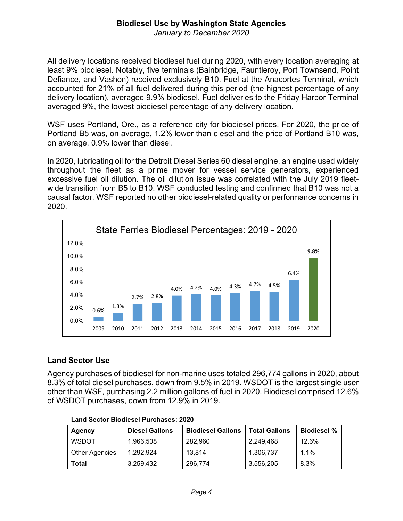*January to December 2020*

All delivery locations received biodiesel fuel during 2020, with every location averaging at least 9% biodiesel. Notably, five terminals (Bainbridge, Fauntleroy, Port Townsend, Point Defiance, and Vashon) received exclusively B10. Fuel at the Anacortes Terminal, which accounted for 21% of all fuel delivered during this period (the highest percentage of any delivery location), averaged 9.9% biodiesel. Fuel deliveries to the Friday Harbor Terminal averaged 9%, the lowest biodiesel percentage of any delivery location.

WSF uses Portland, Ore., as a reference city for biodiesel prices. For 2020, the price of Portland B5 was, on average, 1.2% lower than diesel and the price of Portland B10 was, on average, 0.9% lower than diesel.

In 2020, lubricating oil for the Detroit Diesel Series 60 diesel engine, an engine used widely throughout the fleet as a prime mover for vessel service generators, experienced excessive fuel oil dilution. The oil dilution issue was correlated with the July 2019 fleetwide transition from B5 to B10. WSF conducted testing and confirmed that B10 was not a causal factor. WSF reported no other biodiesel-related quality or performance concerns in 2020.



#### **Land Sector Use**

Agency purchases of biodiesel for non-marine uses totaled 296,774 gallons in 2020, about 8.3% of total diesel purchases, down from 9.5% in 2019. WSDOT is the largest single user other than WSF, purchasing 2.2 million gallons of fuel in 2020. Biodiesel comprised 12.6% of WSDOT purchases, down from 12.9% in 2019.

| Agency                | <b>Diesel Gallons</b> | <b>Biodiesel Gallons</b> | <b>Total Gallons</b> | <b>Biodiesel %</b> |
|-----------------------|-----------------------|--------------------------|----------------------|--------------------|
| <b>WSDOT</b>          | 1.966.508             | 282.960                  | 2,249,468            | 12.6%              |
| <b>Other Agencies</b> | 1.292.924             | 13,814                   | 1,306,737            | $1.1\%$            |
| <b>Total</b>          | 3,259,432             | 296,774                  | 3,556,205            | 8.3%               |

#### **Land Sector Biodiesel Purchases: 2020**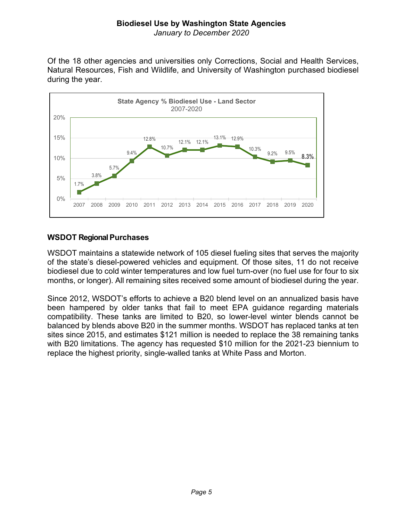*January to December 2020*

Of the 18 other agencies and universities only Corrections, Social and Health Services, Natural Resources, Fish and Wildlife, and University of Washington purchased biodiesel during the year.



#### **WSDOT Regional Purchases**

WSDOT maintains a statewide network of 105 diesel fueling sites that serves the majority of the state's diesel-powered vehicles and equipment. Of those sites, 11 do not receive biodiesel due to cold winter temperatures and low fuel turn-over (no fuel use for four to six months, or longer). All remaining sites received some amount of biodiesel during the year.

Since 2012, WSDOT's efforts to achieve a B20 blend level on an annualized basis have been hampered by older tanks that fail to meet EPA guidance regarding materials compatibility. These tanks are limited to B20, so lower-level winter blends cannot be balanced by blends above B20 in the summer months. WSDOT has replaced tanks at ten sites since 2015, and estimates \$121 million is needed to replace the 38 remaining tanks with B20 limitations. The agency has requested \$10 million for the 2021-23 biennium to replace the highest priority, single-walled tanks at White Pass and Morton.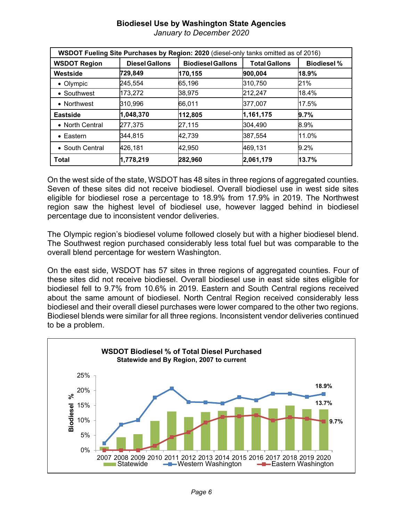| WSDOT Fueling Site Purchases by Region: 2020 (diesel-only tanks omitted as of 2016) |                       |                          |                      |                    |  |  |  |  |
|-------------------------------------------------------------------------------------|-----------------------|--------------------------|----------------------|--------------------|--|--|--|--|
| <b>WSDOT Region</b>                                                                 | <b>Diesel Gallons</b> | <b>Biodiesel Gallons</b> | <b>Total Gallons</b> | <b>Biodiesel %</b> |  |  |  |  |
| Westside                                                                            | 729,849               | 170,155                  | 900,004              | 18.9%              |  |  |  |  |
| • Olympic                                                                           | 245,554               | 65,196                   | 310,750              | 21%                |  |  |  |  |
| • Southwest                                                                         | 173,272               | 38,975                   | 212,247              | 18.4%              |  |  |  |  |
| • Northwest                                                                         | 310,996               | 66,011                   | 377,007              | 17.5%              |  |  |  |  |
| <b>Eastside</b>                                                                     | 1,048,370             | 112,805                  | 1,161,175            | 9.7%               |  |  |  |  |
| • North Central                                                                     | 277,375               | 27,115                   | 304,490              | 8.9%               |  |  |  |  |
| $\bullet$ Eastern                                                                   | 344,815               | 42,739                   | 387,554              | 11.0%              |  |  |  |  |
| • South Central                                                                     | 426,181               | 42,950                   | 469,131              | 9.2%               |  |  |  |  |
| <b>Total</b>                                                                        | 1,778,219             | 282,960                  | 2,061,179            | 13.7%              |  |  |  |  |

*January to December 2020*

On the west side of the state, WSDOT has 48 sites in three regions of aggregated counties. Seven of these sites did not receive biodiesel. Overall biodiesel use in west side sites eligible for biodiesel rose a percentage to 18.9% from 17.9% in 2019. The Northwest region saw the highest level of biodiesel use, however lagged behind in biodiesel percentage due to inconsistent vendor deliveries.

The Olympic region's biodiesel volume followed closely but with a higher biodiesel blend. The Southwest region purchased considerably less total fuel but was comparable to the overall blend percentage for western Washington.

On the east side, WSDOT has 57 sites in three regions of aggregated counties. Four of these sites did not receive biodiesel. Overall biodiesel use in east side sites eligible for biodiesel fell to 9.7% from 10.6% in 2019. Eastern and South Central regions received about the same amount of biodiesel. North Central Region received considerably less biodiesel and their overall diesel purchases were lower compared to the other two regions. Biodiesel blends were similar for all three regions. Inconsistent vendor deliveries continued to be a problem.

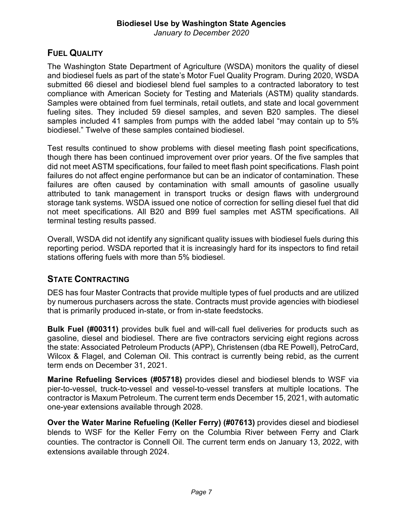*January to December 2020*

## **FUEL QUALITY**

The Washington State Department of Agriculture (WSDA) monitors the quality of diesel and biodiesel fuels as part of the state's Motor Fuel Quality Program. During 2020, WSDA submitted 66 diesel and biodiesel blend fuel samples to a contracted laboratory to test compliance with American Society for Testing and Materials (ASTM) quality standards. Samples were obtained from fuel terminals, retail outlets, and state and local government fueling sites. They included 59 diesel samples, and seven B20 samples. The diesel samples included 41 samples from pumps with the added label "may contain up to 5% biodiesel." Twelve of these samples contained biodiesel.

Test results continued to show problems with diesel meeting flash point specifications, though there has been continued improvement over prior years. Of the five samples that did not meet ASTM specifications, four failed to meet flash point specifications. Flash point failures do not affect engine performance but can be an indicator of contamination. These failures are often caused by contamination with small amounts of gasoline usually attributed to tank management in transport trucks or design flaws with underground storage tank systems. WSDA issued one notice of correction for selling diesel fuel that did not meet specifications. All B20 and B99 fuel samples met ASTM specifications. All terminal testing results passed.

Overall, WSDA did not identify any significant quality issues with biodiesel fuels during this reporting period. WSDA reported that it is increasingly hard for its inspectors to find retail stations offering fuels with more than 5% biodiesel.

## **STATE CONTRACTING**

DES has four Master Contracts that provide multiple types of fuel products and are utilized by numerous purchasers across the state. Contracts must provide agencies with biodiesel that is primarily produced in-state, or from in-state feedstocks.

**Bulk Fuel (#00311)** provides bulk fuel and will-call fuel deliveries for products such as gasoline, diesel and biodiesel. There are five contractors servicing eight regions across the state: Associated Petroleum Products (APP), Christensen (dba RE Powell), PetroCard, Wilcox & Flagel, and Coleman Oil. This contract is currently being rebid, as the current term ends on December 31, 2021.

**Marine Refueling Services (#05718)** provides diesel and biodiesel blends to WSF via pier-to-vessel, truck-to-vessel and vessel-to-vessel transfers at multiple locations. The contractor is Maxum Petroleum. The current term ends December 15, 2021, with automatic one-year extensions available through 2028.

**Over the Water Marine Refueling (Keller Ferry) (#07613)** provides diesel and biodiesel blends to WSF for the Keller Ferry on the Columbia River between Ferry and Clark counties. The contractor is Connell Oil. The current term ends on January 13, 2022, with extensions available through 2024.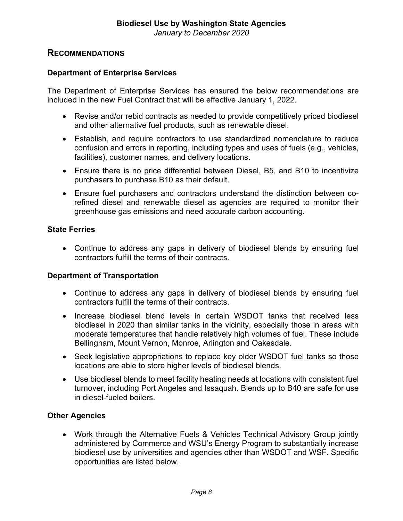#### **RECOMMENDATIONS**

#### **Department of Enterprise Services**

The Department of Enterprise Services has ensured the below recommendations are included in the new Fuel Contract that will be effective January 1, 2022.

- Revise and/or rebid contracts as needed to provide competitively priced biodiesel and other alternative fuel products, such as renewable diesel.
- Establish, and require contractors to use standardized nomenclature to reduce confusion and errors in reporting, including types and uses of fuels (e.g., vehicles, facilities), customer names, and delivery locations.
- Ensure there is no price differential between Diesel, B5, and B10 to incentivize purchasers to purchase B10 as their default.
- Ensure fuel purchasers and contractors understand the distinction between corefined diesel and renewable diesel as agencies are required to monitor their greenhouse gas emissions and need accurate carbon accounting.

#### **State Ferries**

• Continue to address any gaps in delivery of biodiesel blends by ensuring fuel contractors fulfill the terms of their contracts.

#### **Department of Transportation**

- Continue to address any gaps in delivery of biodiesel blends by ensuring fuel contractors fulfill the terms of their contracts.
- Increase biodiesel blend levels in certain WSDOT tanks that received less biodiesel in 2020 than similar tanks in the vicinity, especially those in areas with moderate temperatures that handle relatively high volumes of fuel. These include Bellingham, Mount Vernon, Monroe, Arlington and Oakesdale.
- Seek legislative appropriations to replace key older WSDOT fuel tanks so those locations are able to store higher levels of biodiesel blends.
- Use biodiesel blends to meet facility heating needs at locations with consistent fuel turnover, including Port Angeles and Issaquah. Blends up to B40 are safe for use in diesel-fueled boilers.

#### **Other Agencies**

• Work through the Alternative Fuels & Vehicles Technical Advisory Group jointly administered by Commerce and WSU's Energy Program to substantially increase biodiesel use by universities and agencies other than WSDOT and WSF. Specific opportunities are listed below.